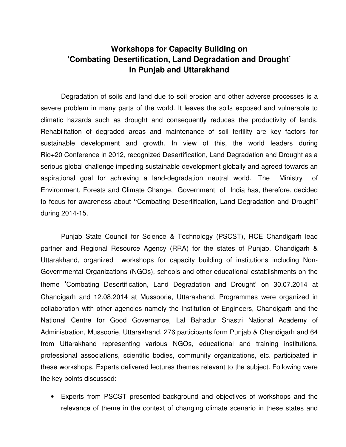## **Workshops for Capacity Building on 'Combating Desertification, Land Degradation and Drought' in Punjab and Uttarakhand**

Degradation of soils and land due to soil erosion and other adverse processes is a severe problem in many parts of the world. It leaves the soils exposed and vulnerable to climatic hazards such as drought and consequently reduces the productivity of lands. Rehabilitation of degraded areas and maintenance of soil fertility are key factors for sustainable development and growth. In view of this, the world leaders during Rio+20 Conference in 2012, recognized Desertification, Land Degradation and Drought as a serious global challenge impeding sustainable development globally and agreed towards an aspirational goal for achieving a land-degradation neutral world. The Ministry of Environment, Forests and Climate Change, Government of India has, therefore, decided to focus for awareness about **"**Combating Desertification, Land Degradation and Drought" during 2014-15.

Punjab State Council for Science & Technology (PSCST), RCE Chandigarh lead partner and Regional Resource Agency (RRA) for the states of Punjab, Chandigarh & Uttarakhand, organized workshops for capacity building of institutions including Non-Governmental Organizations (NGOs), schools and other educational establishments on the theme 'Combating Desertification, Land Degradation and Drought' on 30.07.2014 at Chandigarh and 12.08.2014 at Mussoorie, Uttarakhand. Programmes were organized in collaboration with other agencies namely the Institution of Engineers, Chandigarh and the National Centre for Good Governance, Lal Bahadur Shastri National Academy of Administration, Mussoorie, Uttarakhand. 276 participants form Punjab & Chandigarh and 64 from Uttarakhand representing various NGOs, educational and training institutions, professional associations, scientific bodies, community organizations, etc. participated in these workshops. Experts delivered lectures themes relevant to the subject. Following were the key points discussed:

• Experts from PSCST presented background and objectives of workshops and the relevance of theme in the context of changing climate scenario in these states and